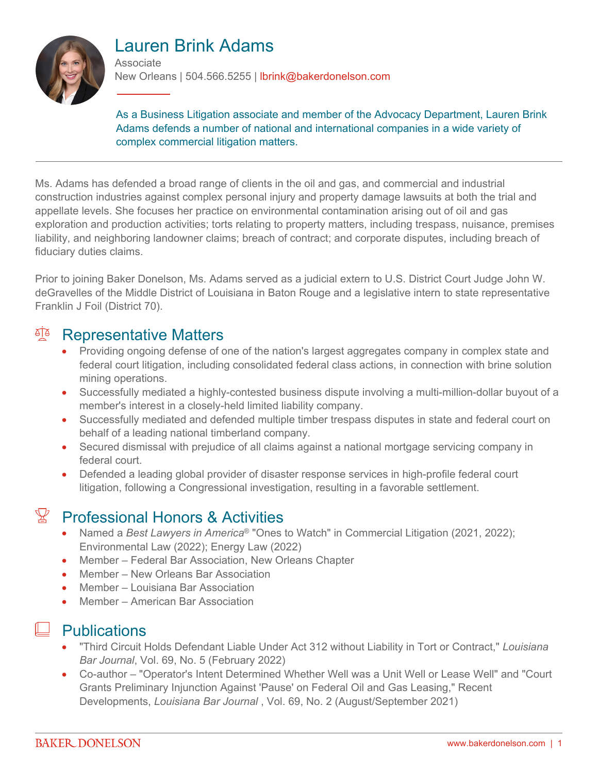

# Lauren Brink Adams

Associate

New Orleans | 504.566.5255 | lbrink@bakerdonelson.com

As a Business Litigation associate and member of the Advocacy Department, Lauren Brink Adams defends a number of national and international companies in a wide variety of complex commercial litigation matters.

Ms. Adams has defended a broad range of clients in the oil and gas, and commercial and industrial construction industries against complex personal injury and property damage lawsuits at both the trial and appellate levels. She focuses her practice on environmental contamination arising out of oil and gas exploration and production activities; torts relating to property matters, including trespass, nuisance, premises liability, and neighboring landowner claims; breach of contract; and corporate disputes, including breach of fiduciary duties claims.

Prior to joining Baker Donelson, Ms. Adams served as a judicial extern to U.S. District Court Judge John W. deGravelles of the Middle District of Louisiana in Baton Rouge and a legislative intern to state representative Franklin J Foil (District 70).

#### <sup>A</sup> Representative Matters

- Providing ongoing defense of one of the nation's largest aggregates company in complex state and federal court litigation, including consolidated federal class actions, in connection with brine solution mining operations.
- Successfully mediated a highly-contested business dispute involving a multi-million-dollar buyout of a member's interest in a closely-held limited liability company.
- Successfully mediated and defended multiple timber trespass disputes in state and federal court on behalf of a leading national timberland company.
- Secured dismissal with prejudice of all claims against a national mortgage servicing company in federal court.
- Defended a leading global provider of disaster response services in high-profile federal court litigation, following a Congressional investigation, resulting in a favorable settlement.

#### $\mathbb{R}$  Professional Honors & Activities

- Named a *Best Lawyers in America*® "Ones to Watch" in Commercial Litigation (2021, 2022); Environmental Law (2022); Energy Law (2022)
- Member Federal Bar Association, New Orleans Chapter
- Member New Orleans Bar Association
- Member Louisiana Bar Association
- Member American Bar Association

#### **Publications**

- "Third Circuit Holds Defendant Liable Under Act 312 without Liability in Tort or Contract," *Louisiana Bar Journal*, Vol. 69, No. 5 (February 2022)
- Co-author "Operator's Intent Determined Whether Well was a Unit Well or Lease Well" and "Court Grants Preliminary Injunction Against 'Pause' on Federal Oil and Gas Leasing," Recent Developments, *Louisiana Bar Journal* , Vol. 69, No. 2 (August/September 2021)